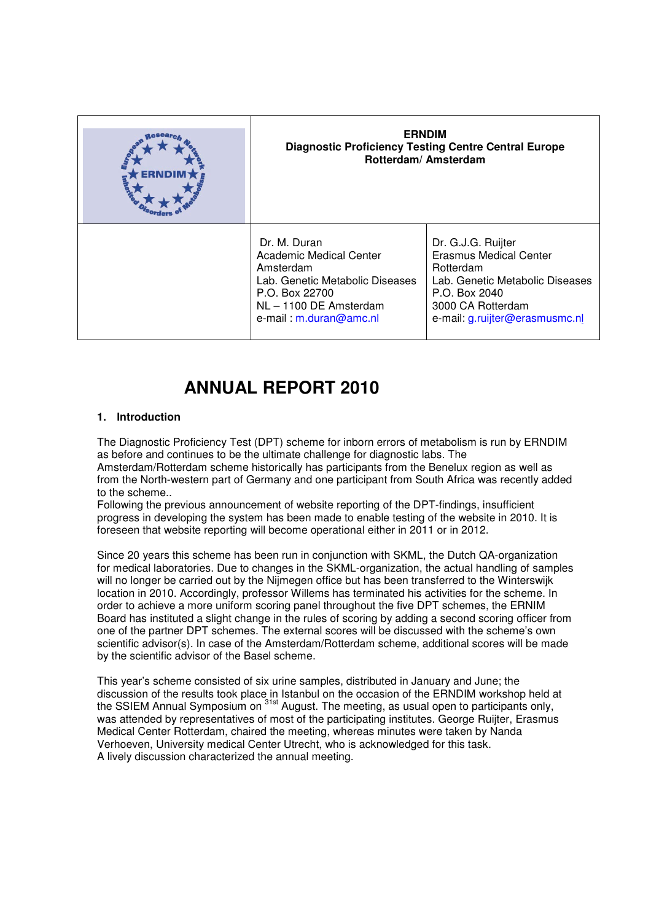| <b>ERNDIM</b><br><b>Diagnostic Proficiency Testing Centre Central Europe</b><br>Rotterdam/Amsterdam                                                                  |                                                                                                                                                                             |
|----------------------------------------------------------------------------------------------------------------------------------------------------------------------|-----------------------------------------------------------------------------------------------------------------------------------------------------------------------------|
| Dr. M. Duran<br><b>Academic Medical Center</b><br>Amsterdam<br>Lab. Genetic Metabolic Diseases<br>P.O. Box 22700<br>NL - 1100 DE Amsterdam<br>e-mail: m.duran@amc.nl | Dr. G.J.G. Ruijter<br><b>Erasmus Medical Center</b><br>Rotterdam<br>Lab. Genetic Metabolic Diseases<br>P.O. Box 2040<br>3000 CA Rotterdam<br>e-mail: g.ruijter@erasmusmc.nl |

# **ANNUAL REPORT 2010**

# **1. Introduction**

The Diagnostic Proficiency Test (DPT) scheme for inborn errors of metabolism is run by ERNDIM as before and continues to be the ultimate challenge for diagnostic labs. The Amsterdam/Rotterdam scheme historically has participants from the Benelux region as well as from the North-western part of Germany and one participant from South Africa was recently added to the scheme..

Following the previous announcement of website reporting of the DPT-findings, insufficient progress in developing the system has been made to enable testing of the website in 2010. It is foreseen that website reporting will become operational either in 2011 or in 2012.

Since 20 years this scheme has been run in conjunction with SKML, the Dutch QA-organization for medical laboratories. Due to changes in the SKML-organization, the actual handling of samples will no longer be carried out by the Nijmegen office but has been transferred to the Winterswijk location in 2010. Accordingly, professor Willems has terminated his activities for the scheme. In order to achieve a more uniform scoring panel throughout the five DPT schemes, the ERNIM Board has instituted a slight change in the rules of scoring by adding a second scoring officer from one of the partner DPT schemes. The external scores will be discussed with the scheme's own scientific advisor(s). In case of the Amsterdam/Rotterdam scheme, additional scores will be made by the scientific advisor of the Basel scheme.

This year's scheme consisted of six urine samples, distributed in January and June; the discussion of the results took place in Istanbul on the occasion of the ERNDIM workshop held at the SSIEM Annual Symposium on <sup>31st</sup> August. The meeting, as usual open to participants only, was attended by representatives of most of the participating institutes. George Ruijter, Erasmus Medical Center Rotterdam, chaired the meeting, whereas minutes were taken by Nanda Verhoeven, University medical Center Utrecht, who is acknowledged for this task. A lively discussion characterized the annual meeting.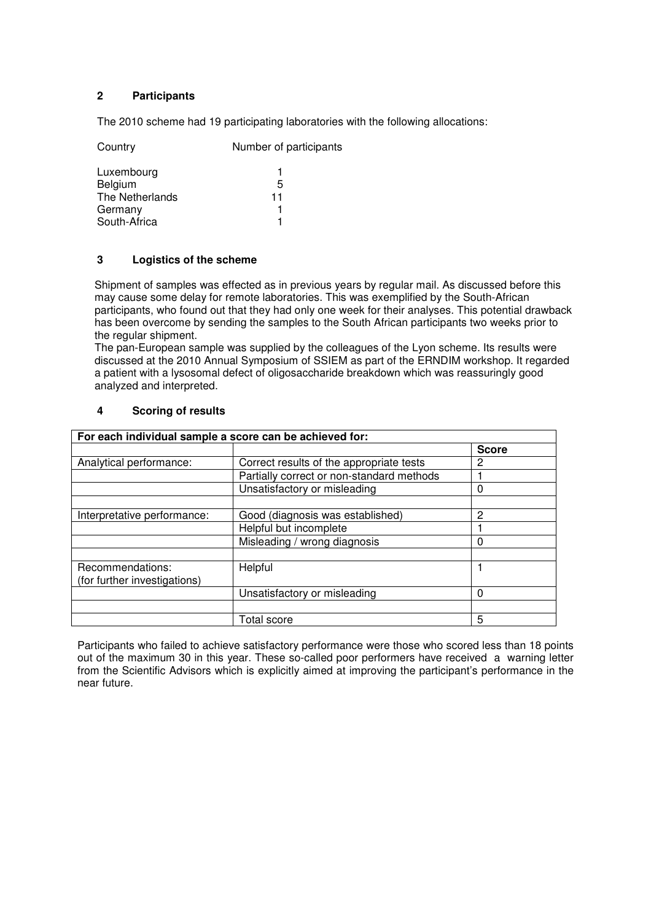# **2 Participants**

The 2010 scheme had 19 participating laboratories with the following allocations:

| Country         | Number of participants |  |
|-----------------|------------------------|--|
| Luxembourg      |                        |  |
| Belgium         | 5                      |  |
| The Netherlands | 11                     |  |
| Germany         |                        |  |
| South-Africa    |                        |  |

# **3 Logistics of the scheme**

Shipment of samples was effected as in previous years by regular mail. As discussed before this may cause some delay for remote laboratories. This was exemplified by the South-African participants, who found out that they had only one week for their analyses. This potential drawback has been overcome by sending the samples to the South African participants two weeks prior to the regular shipment.

The pan-European sample was supplied by the colleagues of the Lyon scheme. Its results were discussed at the 2010 Annual Symposium of SSIEM as part of the ERNDIM workshop. It regarded a patient with a lysosomal defect of oligosaccharide breakdown which was reassuringly good analyzed and interpreted.

| For each individual sample a score can be achieved for: |                                           |              |  |  |
|---------------------------------------------------------|-------------------------------------------|--------------|--|--|
|                                                         |                                           | <b>Score</b> |  |  |
| Analytical performance:                                 | Correct results of the appropriate tests  | 2            |  |  |
|                                                         | Partially correct or non-standard methods |              |  |  |
|                                                         | Unsatisfactory or misleading              | 0            |  |  |
| Interpretative performance:                             | Good (diagnosis was established)          | 2            |  |  |
|                                                         | Helpful but incomplete                    |              |  |  |
|                                                         | Misleading / wrong diagnosis              | 0            |  |  |
|                                                         |                                           |              |  |  |
| Recommendations:<br>(for further investigations)        | Helpful                                   |              |  |  |
|                                                         | Unsatisfactory or misleading              | 0            |  |  |
|                                                         |                                           |              |  |  |
|                                                         | Total score                               | 5            |  |  |

# **4 Scoring of results**

Participants who failed to achieve satisfactory performance were those who scored less than 18 points out of the maximum 30 in this year. These so-called poor performers have received a warning letter from the Scientific Advisors which is explicitly aimed at improving the participant's performance in the near future.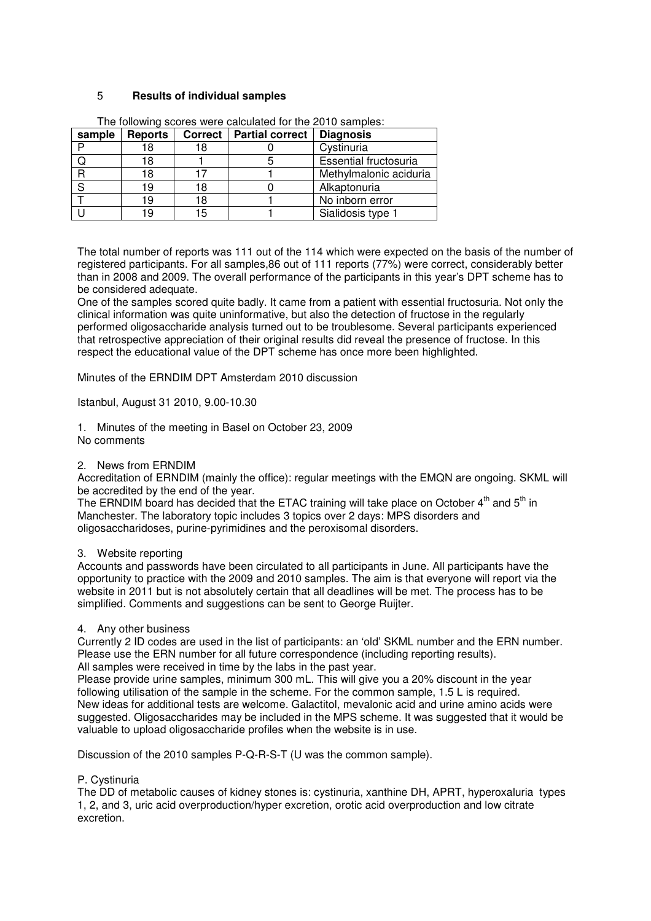## 5 **Results of individual samples**

| sample | <b>Reports</b> |    | Correct   Partial correct | <b>Diagnosis</b>       |
|--------|----------------|----|---------------------------|------------------------|
|        | 18             | 18 |                           | Cystinuria             |
|        | 18             |    |                           | Essential fructosuria  |
|        | 18             |    |                           | Methylmalonic aciduria |
|        | 19             | 18 |                           | Alkaptonuria           |
|        | 19             | 18 |                           | No inborn error        |
|        |                | 15 |                           | Sialidosis type 1      |

The following scores were calculated for the 2010 samples:

The total number of reports was 111 out of the 114 which were expected on the basis of the number of registered participants. For all samples,86 out of 111 reports (77%) were correct, considerably better than in 2008 and 2009. The overall performance of the participants in this year's DPT scheme has to be considered adequate.

One of the samples scored quite badly. It came from a patient with essential fructosuria. Not only the clinical information was quite uninformative, but also the detection of fructose in the regularly performed oligosaccharide analysis turned out to be troublesome. Several participants experienced that retrospective appreciation of their original results did reveal the presence of fructose. In this respect the educational value of the DPT scheme has once more been highlighted.

Minutes of the ERNDIM DPT Amsterdam 2010 discussion

Istanbul, August 31 2010, 9.00-10.30

- 1. Minutes of the meeting in Basel on October 23, 2009 No comments
- 2. News from ERNDIM

Accreditation of ERNDIM (mainly the office): regular meetings with the EMQN are ongoing. SKML will be accredited by the end of the year.

The ERNDIM board has decided that the ETAC training will take place on October  $4<sup>th</sup>$  and  $5<sup>th</sup>$  in Manchester. The laboratory topic includes 3 topics over 2 days: MPS disorders and oligosaccharidoses, purine-pyrimidines and the peroxisomal disorders.

#### 3. Website reporting

Accounts and passwords have been circulated to all participants in June. All participants have the opportunity to practice with the 2009 and 2010 samples. The aim is that everyone will report via the website in 2011 but is not absolutely certain that all deadlines will be met. The process has to be simplified. Comments and suggestions can be sent to George Ruijter.

#### 4. Any other business

Currently 2 ID codes are used in the list of participants: an 'old' SKML number and the ERN number. Please use the ERN number for all future correspondence (including reporting results). All samples were received in time by the labs in the past year.

Please provide urine samples, minimum 300 mL. This will give you a 20% discount in the year following utilisation of the sample in the scheme. For the common sample, 1.5 L is required. New ideas for additional tests are welcome. Galactitol, mevalonic acid and urine amino acids were suggested. Oligosaccharides may be included in the MPS scheme. It was suggested that it would be valuable to upload oligosaccharide profiles when the website is in use.

Discussion of the 2010 samples P-Q-R-S-T (U was the common sample).

# P. Cystinuria

The DD of metabolic causes of kidney stones is: cystinuria, xanthine DH, APRT, hyperoxaluria types 1, 2, and 3, uric acid overproduction/hyper excretion, orotic acid overproduction and low citrate excretion.